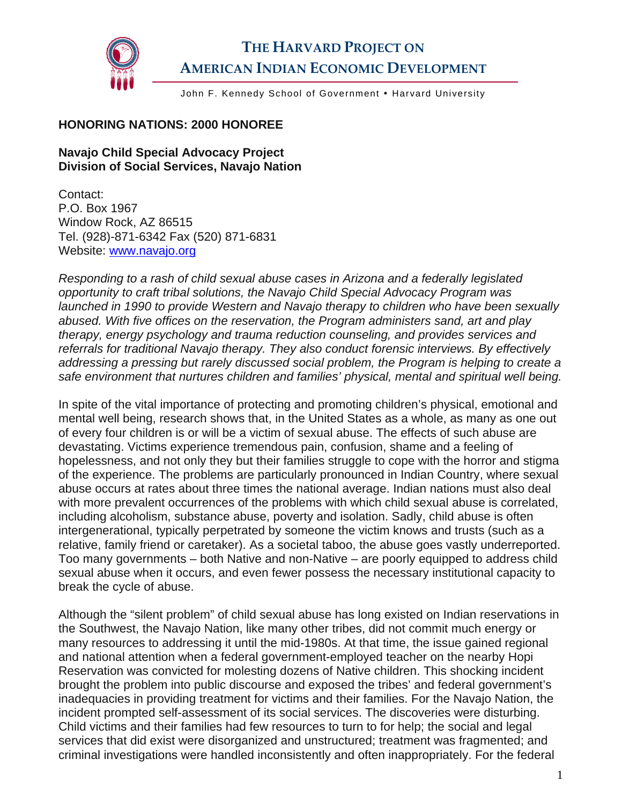

## **THE HARVARD PROJECT ON AMERICAN INDIAN ECONOMIC DEVELOPMENT**

John F. Kennedy School of Government . Harvard University

## **HONORING NATIONS: 2000 HONOREE**

## **Navajo Child Special Advocacy Project Division of Social Services, Navajo Nation**

Contact: P.O. Box 1967 Window Rock, AZ 86515 Tel. (928)-871-6342 Fax (520) 871-6831 Website: [www.navajo.org](http://www.navajo.org/) 

*Responding to a rash of child sexual abuse cases in Arizona and a federally legislated opportunity to craft tribal solutions, the Navajo Child Special Advocacy Program was launched in 1990 to provide Western and Navajo therapy to children who have been sexually abused. With five offices on the reservation, the Program administers sand, art and play therapy, energy psychology and trauma reduction counseling, and provides services and referrals for traditional Navajo therapy. They also conduct forensic interviews. By effectively addressing a pressing but rarely discussed social problem, the Program is helping to create a safe environment that nurtures children and families' physical, mental and spiritual well being.* 

In spite of the vital importance of protecting and promoting children's physical, emotional and mental well being, research shows that, in the United States as a whole, as many as one out of every four children is or will be a victim of sexual abuse. The effects of such abuse are devastating. Victims experience tremendous pain, confusion, shame and a feeling of hopelessness, and not only they but their families struggle to cope with the horror and stigma of the experience. The problems are particularly pronounced in Indian Country, where sexual abuse occurs at rates about three times the national average. Indian nations must also deal with more prevalent occurrences of the problems with which child sexual abuse is correlated, including alcoholism, substance abuse, poverty and isolation. Sadly, child abuse is often intergenerational, typically perpetrated by someone the victim knows and trusts (such as a relative, family friend or caretaker). As a societal taboo, the abuse goes vastly underreported. Too many governments – both Native and non-Native – are poorly equipped to address child sexual abuse when it occurs, and even fewer possess the necessary institutional capacity to break the cycle of abuse.

Although the "silent problem" of child sexual abuse has long existed on Indian reservations in the Southwest, the Navajo Nation, like many other tribes, did not commit much energy or many resources to addressing it until the mid-1980s. At that time, the issue gained regional and national attention when a federal government-employed teacher on the nearby Hopi Reservation was convicted for molesting dozens of Native children. This shocking incident brought the problem into public discourse and exposed the tribes' and federal government's inadequacies in providing treatment for victims and their families. For the Navajo Nation, the incident prompted self-assessment of its social services. The discoveries were disturbing. Child victims and their families had few resources to turn to for help; the social and legal services that did exist were disorganized and unstructured; treatment was fragmented; and criminal investigations were handled inconsistently and often inappropriately. For the federal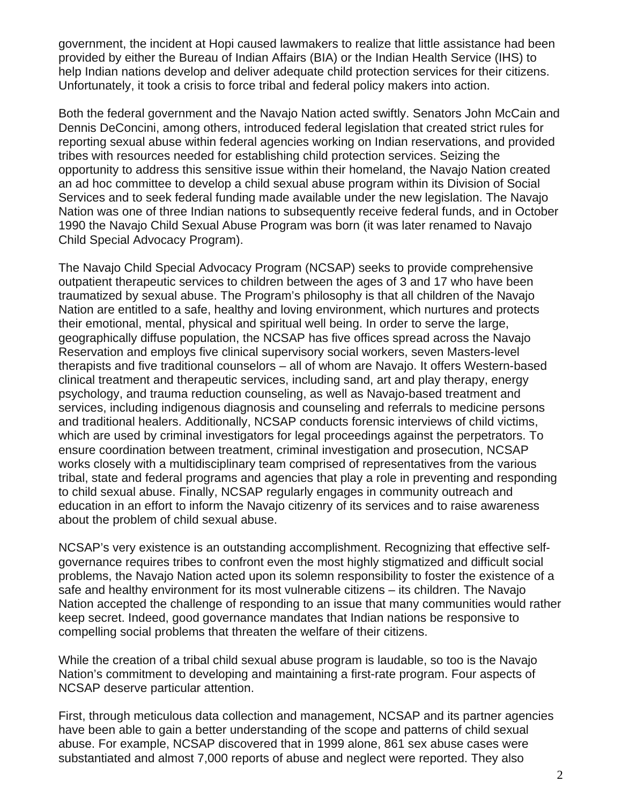government, the incident at Hopi caused lawmakers to realize that little assistance had been provided by either the Bureau of Indian Affairs (BIA) or the Indian Health Service (IHS) to help Indian nations develop and deliver adequate child protection services for their citizens. Unfortunately, it took a crisis to force tribal and federal policy makers into action.

Both the federal government and the Navajo Nation acted swiftly. Senators John McCain and Dennis DeConcini, among others, introduced federal legislation that created strict rules for reporting sexual abuse within federal agencies working on Indian reservations, and provided tribes with resources needed for establishing child protection services. Seizing the opportunity to address this sensitive issue within their homeland, the Navajo Nation created an ad hoc committee to develop a child sexual abuse program within its Division of Social Services and to seek federal funding made available under the new legislation. The Navajo Nation was one of three Indian nations to subsequently receive federal funds, and in October 1990 the Navajo Child Sexual Abuse Program was born (it was later renamed to Navajo Child Special Advocacy Program).

The Navajo Child Special Advocacy Program (NCSAP) seeks to provide comprehensive outpatient therapeutic services to children between the ages of 3 and 17 who have been traumatized by sexual abuse. The Program's philosophy is that all children of the Navajo Nation are entitled to a safe, healthy and loving environment, which nurtures and protects their emotional, mental, physical and spiritual well being. In order to serve the large, geographically diffuse population, the NCSAP has five offices spread across the Navajo Reservation and employs five clinical supervisory social workers, seven Masters-level therapists and five traditional counselors – all of whom are Navajo. It offers Western-based clinical treatment and therapeutic services, including sand, art and play therapy, energy psychology, and trauma reduction counseling, as well as Navajo-based treatment and services, including indigenous diagnosis and counseling and referrals to medicine persons and traditional healers. Additionally, NCSAP conducts forensic interviews of child victims, which are used by criminal investigators for legal proceedings against the perpetrators. To ensure coordination between treatment, criminal investigation and prosecution, NCSAP works closely with a multidisciplinary team comprised of representatives from the various tribal, state and federal programs and agencies that play a role in preventing and responding to child sexual abuse. Finally, NCSAP regularly engages in community outreach and education in an effort to inform the Navajo citizenry of its services and to raise awareness about the problem of child sexual abuse.

NCSAP's very existence is an outstanding accomplishment. Recognizing that effective selfgovernance requires tribes to confront even the most highly stigmatized and difficult social problems, the Navajo Nation acted upon its solemn responsibility to foster the existence of a safe and healthy environment for its most vulnerable citizens – its children. The Navajo Nation accepted the challenge of responding to an issue that many communities would rather keep secret. Indeed, good governance mandates that Indian nations be responsive to compelling social problems that threaten the welfare of their citizens.

While the creation of a tribal child sexual abuse program is laudable, so too is the Navajo Nation's commitment to developing and maintaining a first-rate program. Four aspects of NCSAP deserve particular attention.

First, through meticulous data collection and management, NCSAP and its partner agencies have been able to gain a better understanding of the scope and patterns of child sexual abuse. For example, NCSAP discovered that in 1999 alone, 861 sex abuse cases were substantiated and almost 7,000 reports of abuse and neglect were reported. They also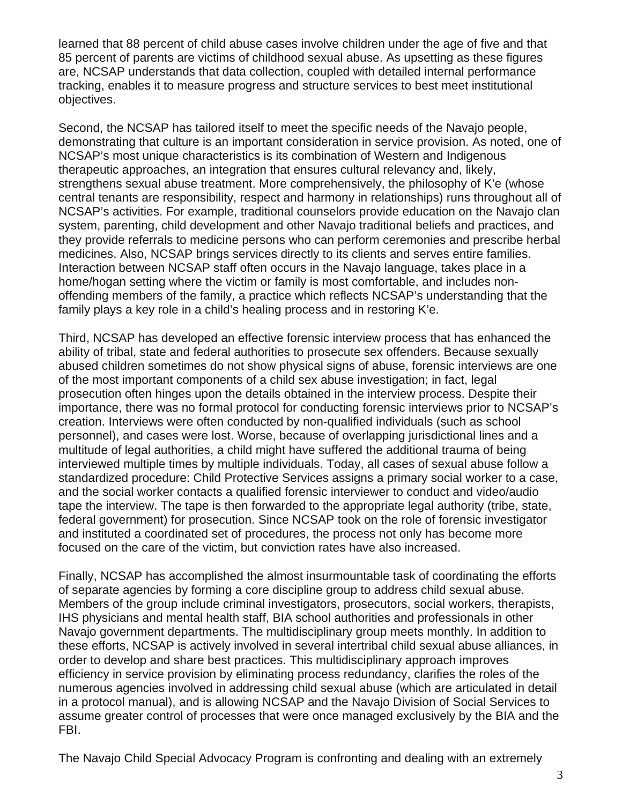learned that 88 percent of child abuse cases involve children under the age of five and that 85 percent of parents are victims of childhood sexual abuse. As upsetting as these figures are, NCSAP understands that data collection, coupled with detailed internal performance tracking, enables it to measure progress and structure services to best meet institutional objectives.

Second, the NCSAP has tailored itself to meet the specific needs of the Navajo people, demonstrating that culture is an important consideration in service provision. As noted, one of NCSAP's most unique characteristics is its combination of Western and Indigenous therapeutic approaches, an integration that ensures cultural relevancy and, likely, strengthens sexual abuse treatment. More comprehensively, the philosophy of K'e (whose central tenants are responsibility, respect and harmony in relationships) runs throughout all of NCSAP's activities. For example, traditional counselors provide education on the Navajo clan system, parenting, child development and other Navajo traditional beliefs and practices, and they provide referrals to medicine persons who can perform ceremonies and prescribe herbal medicines. Also, NCSAP brings services directly to its clients and serves entire families. Interaction between NCSAP staff often occurs in the Navajo language, takes place in a home/hogan setting where the victim or family is most comfortable, and includes nonoffending members of the family, a practice which reflects NCSAP's understanding that the family plays a key role in a child's healing process and in restoring K'e.

Third, NCSAP has developed an effective forensic interview process that has enhanced the ability of tribal, state and federal authorities to prosecute sex offenders. Because sexually abused children sometimes do not show physical signs of abuse, forensic interviews are one of the most important components of a child sex abuse investigation; in fact, legal prosecution often hinges upon the details obtained in the interview process. Despite their importance, there was no formal protocol for conducting forensic interviews prior to NCSAP's creation. Interviews were often conducted by non-qualified individuals (such as school personnel), and cases were lost. Worse, because of overlapping jurisdictional lines and a multitude of legal authorities, a child might have suffered the additional trauma of being interviewed multiple times by multiple individuals. Today, all cases of sexual abuse follow a standardized procedure: Child Protective Services assigns a primary social worker to a case, and the social worker contacts a qualified forensic interviewer to conduct and video/audio tape the interview. The tape is then forwarded to the appropriate legal authority (tribe, state, federal government) for prosecution. Since NCSAP took on the role of forensic investigator and instituted a coordinated set of procedures, the process not only has become more focused on the care of the victim, but conviction rates have also increased.

Finally, NCSAP has accomplished the almost insurmountable task of coordinating the efforts of separate agencies by forming a core discipline group to address child sexual abuse. Members of the group include criminal investigators, prosecutors, social workers, therapists, IHS physicians and mental health staff, BIA school authorities and professionals in other Navajo government departments. The multidisciplinary group meets monthly. In addition to these efforts, NCSAP is actively involved in several intertribal child sexual abuse alliances, in order to develop and share best practices. This multidisciplinary approach improves efficiency in service provision by eliminating process redundancy, clarifies the roles of the numerous agencies involved in addressing child sexual abuse (which are articulated in detail in a protocol manual), and is allowing NCSAP and the Navajo Division of Social Services to assume greater control of processes that were once managed exclusively by the BIA and the FBI.

The Navajo Child Special Advocacy Program is confronting and dealing with an extremely